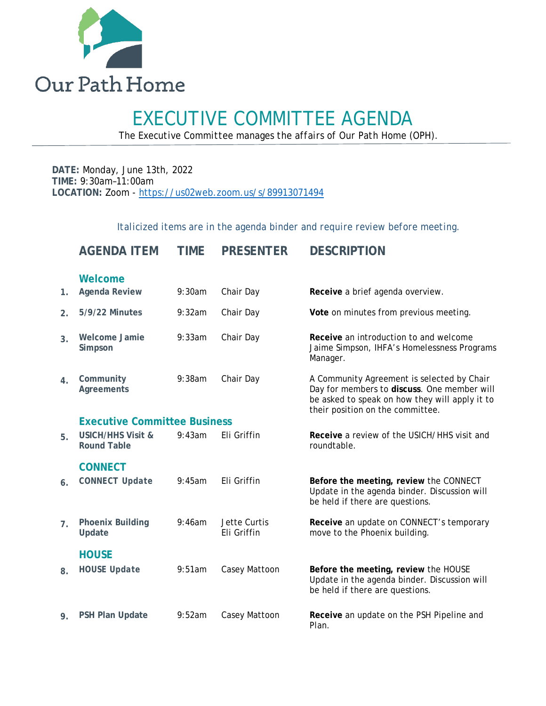

# EXECUTIVE COMMITTEE AGENDA *The Executive Committee manages the affairs of Our Path Home (OPH).*

**DATE:** Monday, June 13th, 2022 **TIME:** 9:30am–11:00am **LOCATION:** Zoom - <https://us02web.zoom.us/s/89913071494>

*Italicized items are in the agenda binder and require review before meeting.*

|                  | <b>AGENDA ITEM</b>                                 | <b>TIME</b> | <b>PRESENTER</b>            | <b>DESCRIPTION</b>                                                                                                                                                              |  |  |  |
|------------------|----------------------------------------------------|-------------|-----------------------------|---------------------------------------------------------------------------------------------------------------------------------------------------------------------------------|--|--|--|
|                  | Welcome                                            |             |                             |                                                                                                                                                                                 |  |  |  |
| 1.               | <b>Agenda Review</b>                               | 9:30am      | Chair Day                   | Receive a brief agenda overview.                                                                                                                                                |  |  |  |
| $\overline{2}$ . | <b>5/9/22 Minutes</b>                              | 9:32am      | Chair Day                   | Vote on minutes from previous meeting.                                                                                                                                          |  |  |  |
| 3.               | <b>Welcome Jamie</b><br>Simpson                    | 9:33am      | Chair Day                   | Receive an introduction to and welcome<br>Jaime Simpson, IHFA's Homelessness Programs<br>Manager.                                                                               |  |  |  |
| 4.               | Community<br>Agreements                            | 9:38am      | Chair Day                   | A Community Agreement is selected by Chair<br>Day for members to discuss. One member will<br>be asked to speak on how they will apply it to<br>their position on the committee. |  |  |  |
|                  | <b>Executive Committee Business</b>                |             |                             |                                                                                                                                                                                 |  |  |  |
| 5.               | <b>USICH/HHS Visit &amp;</b><br><b>Round Table</b> | 9:43am      | Eli Griffin                 | Receive a review of the USICH/HHS visit and<br>roundtable.                                                                                                                      |  |  |  |
|                  | <b>CONNECT</b>                                     |             |                             |                                                                                                                                                                                 |  |  |  |
| 6.               | <b>CONNECT Update</b>                              | 9:45am      | Eli Griffin                 | Before the meeting, review the CONNECT<br>Update in the agenda binder. Discussion will<br>be held if there are questions.                                                       |  |  |  |
| $\overline{7}$ . | <b>Phoenix Building</b><br>Update                  | 9:46am      | Jette Curtis<br>Eli Griffin | Receive an update on CONNECT's temporary<br>move to the Phoenix building.                                                                                                       |  |  |  |
|                  | <b>HOUSE</b>                                       |             |                             |                                                                                                                                                                                 |  |  |  |
| 8.               | <b>HOUSE Update</b>                                | 9:51am      | Casey Mattoon               | Before the meeting, review the HOUSE<br>Update in the agenda binder. Discussion will<br>be held if there are questions.                                                         |  |  |  |
| 9.               | <b>PSH Plan Update</b>                             | 9:52am      | Casey Mattoon               | Receive an update on the PSH Pipeline and<br>Plan.                                                                                                                              |  |  |  |